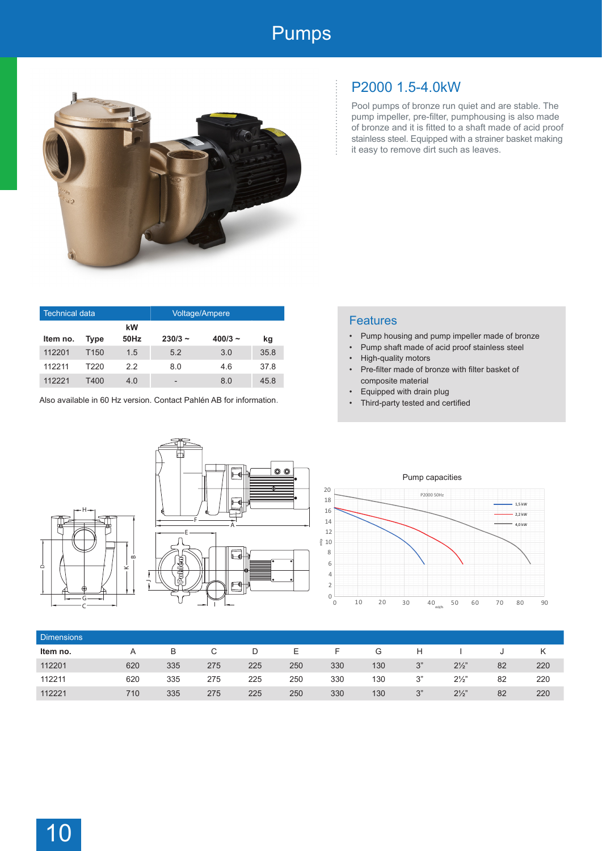## Pumps



| <b>Technical data</b> |                  |            | <b>Voltage/Ampere</b> |           |      |  |  |
|-----------------------|------------------|------------|-----------------------|-----------|------|--|--|
| Item no.              | <b>Type</b>      | kW<br>50Hz | $230/3 -$             | $400/3 -$ | kg   |  |  |
| 112201                | T <sub>150</sub> | 1.5        | 5.2                   | 3.0       | 35.8 |  |  |
| 112211                | T220             | 22         | 8.0                   | 4.6       | 378  |  |  |
| 112221                | T400             | 4.0        | -                     | 8.0       | 45.8 |  |  |

Also available in 60 Hz version. Contact Pahlén AB for information.

## P2000 1.5-4.0kW

Pool pumps of bronze run quiet and are stable. The pump impeller, pre-filter, pumphousing is also made of bronze and it is fitted to a shaft made of acid proof stainless steel. Equipped with a strainer basket making it easy to remove dirt such as leaves.

|  | <b>Features</b> |  |
|--|-----------------|--|
|  |                 |  |
|  |                 |  |

- Pump housing and pump impeller made of bronze
- Pump shaft made of acid proof stainless steel
- High-quality motors
- Pre-filter made of bronze with filter basket of composite material
- Equipped with drain plug
- Third-party tested and certified





Pump capacities



| <b>Dimensions</b> |     |     |     |     |     |     |     |    |                |    |     |
|-------------------|-----|-----|-----|-----|-----|-----|-----|----|----------------|----|-----|
| Item no.          |     | B   | C   | D   | E.  | F   | G   | H  |                |    |     |
| 112201            | 620 | 335 | 275 | 225 | 250 | 330 | 130 | 3" | $2\frac{1}{2}$ | 82 | 220 |
| 112211            | 620 | 335 | 275 | 225 | 250 | 330 | 130 | 3" | $2\frac{1}{2}$ | 82 | 220 |
| 112221            | 710 | 335 | 275 | 225 | 250 | 330 | 130 | 3" | $2\frac{1}{2}$ | 82 | 220 |